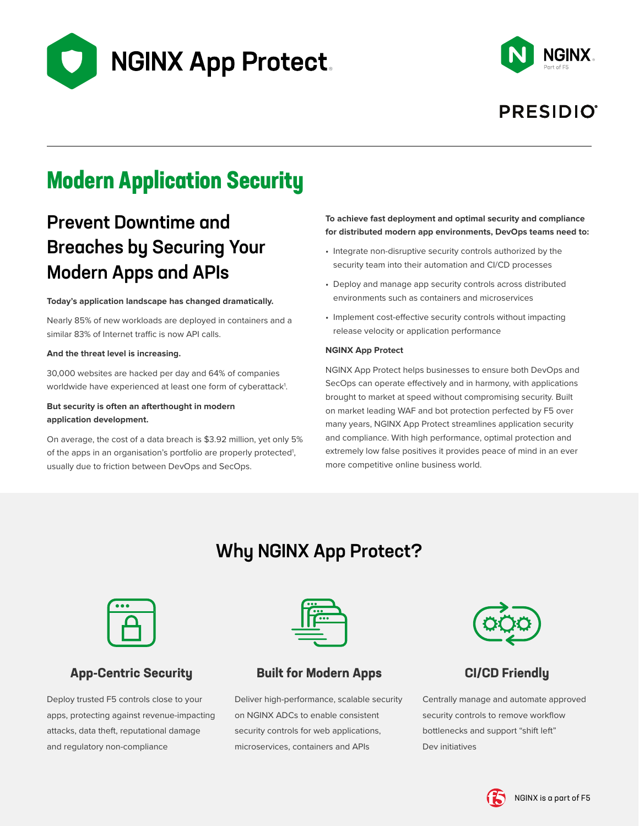



## **PRESIDIO**

# **Modern Application Security**

## Prevent Downtime and Breaches by Securing Your Modern Apps and APIs

### **Today's application landscape has changed dramatically.**

Nearly 85% of new workloads are deployed in containers and a similar 83% of Internet traffic is now API calls.

### **And the threat level is increasing.**

30,000 websites are hacked per day and 64% of companies worldwide have experienced at least one form of cyberattack<sup>1</sup>.

### **But security is often an afterthought in modern application development.**

On average, the cost of a data breach is \$3.92 million, yet only 5% of the apps in an organisation's portfolio are properly protected<sup>1</sup>, usually due to friction between DevOps and SecOps.

### **To achieve fast deployment and optimal security and compliance for distributed modern app environments, DevOps teams need to:**

- Integrate non-disruptive security controls authorized by the security team into their automation and CI/CD processes
- Deploy and manage app security controls across distributed environments such as containers and microservices
- Implement cost-effective security controls without impacting release velocity or application performance

### **NGINX App Protect**

NGINX App Protect helps businesses to ensure both DevOps and SecOps can operate effectively and in harmony, with applications brought to market at speed without compromising security. Built on market leading WAF and bot protection perfected by F5 over many years, NGINX App Protect streamlines application security and compliance. With high performance, optimal protection and extremely low false positives it provides peace of mind in an ever more competitive online business world.

## Why NGINX App Protect?



### **App-Centric Security**

Deploy trusted F5 controls close to your apps, protecting against revenue-impacting attacks, data theft, reputational damage and regulatory non-compliance



### **Built for Modern Apps**

Deliver high-performance, scalable security on NGINX ADCs to enable consistent security controls for web applications, microservices, containers and APIs



## **CI/CD Friendly**

Centrally manage and automate approved security controls to remove workflow bottlenecks and support "shift left" Dev initiatives